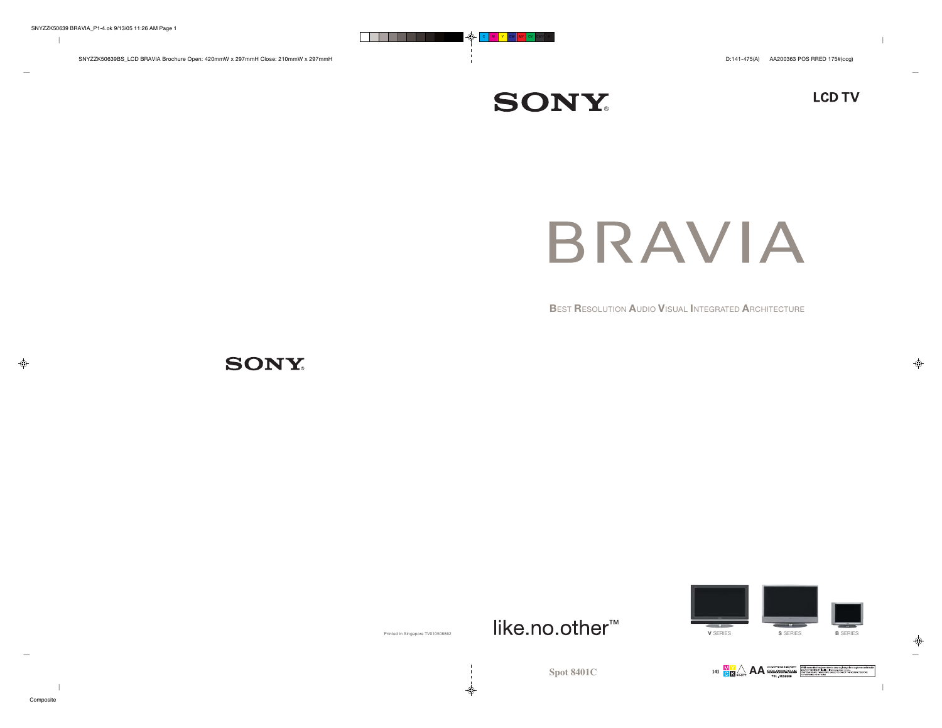$\overline{1}$ 

**LCD TV** 

BRAVIA

**B**EST **R**ESOLUTION **A**UDIO **V**ISUAL **I**NTEGRATED **A**RCHITECTURE

**SONY** 



**SONY** 



♦

◈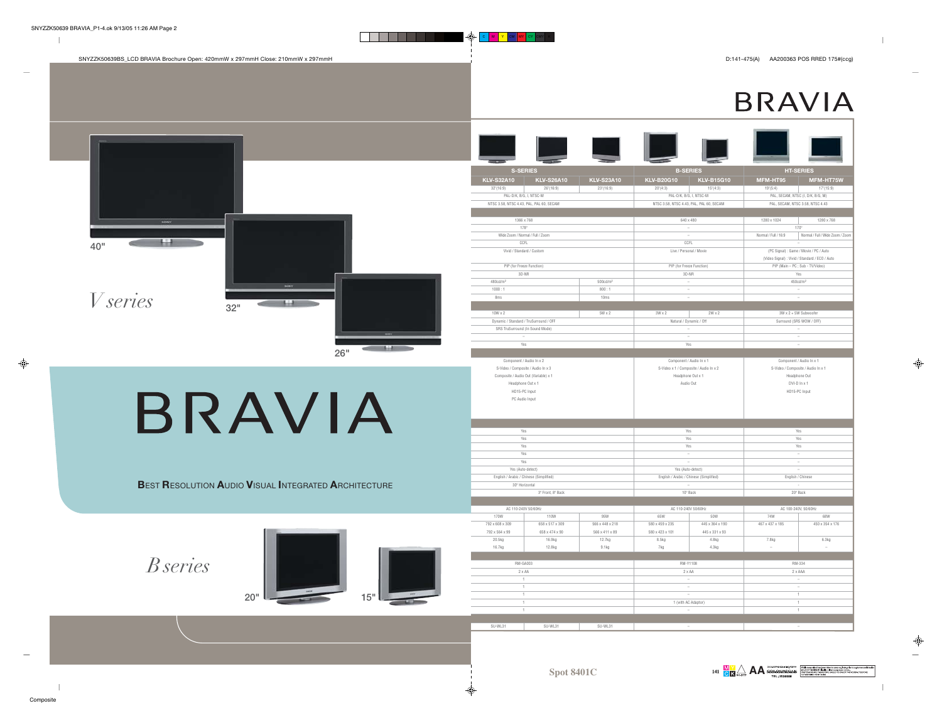$\parallel$ 

 $\sim$ 

 $\Rightarrow$ 

|                                                      | <b>S-SERIES</b>                                                           |                                   |                                          | <b>B-SERIES</b>                        |                      | <b>HT-SERIES</b>                                                                   |  |
|------------------------------------------------------|---------------------------------------------------------------------------|-----------------------------------|------------------------------------------|----------------------------------------|----------------------|------------------------------------------------------------------------------------|--|
|                                                      | <b>KLV-S32A10</b><br><b>KLV-S26A10</b>                                    | <b>KLV-S23A10</b>                 | <b>KLV-B20G10</b>                        | <b>KLV-B15G10</b>                      | MFM-HT95             | MFM-HT75W                                                                          |  |
|                                                      | 32"(16:9)<br>26'(16:9)                                                    | 23''(16:9)                        | $20^{\circ}(4:3)$                        | 15'(4:3)                               | 19'(5:4)             | 17'(15:9)                                                                          |  |
|                                                      | PAL-D/K, B/G, I, NTSC-M                                                   |                                   |                                          | PAL-D/K, B/G, I, NTSC-M                |                      | PAL, SECAM, NTSC (I, D/K, B/G, M)                                                  |  |
|                                                      | NTSC 3.58, NTSC 4.43, PAL, PAL 60, SECAM                                  |                                   | NTSC 3.58, NTSC 4.43, PAL, PAL 60, SECAM |                                        |                      | PAL. SECAM. NTSC 3.58. NTSC 4.43                                                   |  |
|                                                      | 1366 x 768                                                                |                                   |                                          | 640 x 480                              | 1280 x 1024          | 1280 x 768                                                                         |  |
|                                                      | 178°                                                                      |                                   | $\sim$                                   |                                        |                      | 170°                                                                               |  |
|                                                      | Wide Zoom / Normal / Full / Zoom                                          |                                   |                                          | $\sim$                                 | Normal / Full / 16:9 | Normal / Full / Wide Zoom / Zoon                                                   |  |
| 40"                                                  | CCFL                                                                      |                                   |                                          | CCFL                                   |                      |                                                                                    |  |
|                                                      | Vivid / Standard / Custom                                                 |                                   |                                          | Live / Personal / Movie                |                      | (PC Signal) : Game / Movie / PC / Auto                                             |  |
|                                                      | PIP (for Freeze Function)                                                 |                                   | PIP (for Freeze Function)                |                                        |                      | (Video Signal) : Vivid / Standard / ECO / Auto<br>PIP (Main - PC ; Sub - TV/Video) |  |
|                                                      | $3D-NR$                                                                   |                                   |                                          | $3D-NR$                                |                      | Yes                                                                                |  |
|                                                      | 480cd/m <sup>2</sup>                                                      | 500 <sub>cd</sub> /m <sup>2</sup> | $\hspace{0.1mm}-\hspace{0.1mm}$          |                                        |                      | 450cd/m <sup>2</sup>                                                               |  |
|                                                      | 1000:1                                                                    | 800:1                             |                                          | $\sim$                                 |                      | $\sim$                                                                             |  |
| <i>V</i> series                                      | 8ms                                                                       | 10ms                              | $\sim$                                   |                                        |                      | $\sim$                                                                             |  |
| 32"                                                  |                                                                           |                                   |                                          |                                        |                      |                                                                                    |  |
|                                                      | $10W \times 2$                                                            | $5W \times 2$                     | $3W \times 2$                            | $2W \times 2$                          |                      | 3W x 2 + 5W Subwoofer                                                              |  |
|                                                      | Dynamic / Standard / TruSurround / OFF<br>SRS TruSurround (In Sound Mode) |                                   |                                          | Natural / Dynamic / Off                |                      | Surround (SRS WOW / OFF)                                                           |  |
|                                                      | $\sim$                                                                    |                                   | $\sim$                                   |                                        |                      | $\sim$<br>$\sim$                                                                   |  |
|                                                      | Yes                                                                       |                                   |                                          | Yes                                    |                      | $\sim$                                                                             |  |
| 26"                                                  |                                                                           |                                   |                                          |                                        |                      |                                                                                    |  |
|                                                      | Component / Audio In x 2                                                  |                                   |                                          | Component / Audio In x 1               |                      | Component / Audio In x 1                                                           |  |
|                                                      | S-Video / Composite / Audio In x 3                                        |                                   |                                          | S-Video x 1 / Composite / Audio In x 2 |                      | S-Video / Composite / Audio In x 1                                                 |  |
|                                                      | Composite / Audio Out (Variable) x 1                                      |                                   |                                          | Headphone Out x 1                      |                      | Headphone Out                                                                      |  |
|                                                      | Headphone Out x 1<br>HD15-PC Input                                        |                                   |                                          | Audio Out                              |                      | $DVI+D \ln x 1$<br>HD15-PC Input                                                   |  |
|                                                      | PC Audio Input                                                            |                                   |                                          |                                        |                      |                                                                                    |  |
|                                                      |                                                                           |                                   |                                          |                                        |                      |                                                                                    |  |
|                                                      |                                                                           |                                   |                                          |                                        |                      |                                                                                    |  |
|                                                      |                                                                           |                                   |                                          |                                        |                      |                                                                                    |  |
|                                                      |                                                                           |                                   |                                          |                                        |                      |                                                                                    |  |
| BRAVIA                                               | Yes                                                                       |                                   | Yes                                      |                                        |                      | Yes                                                                                |  |
|                                                      | Yes                                                                       |                                   |                                          | Yes                                    |                      | Yes                                                                                |  |
|                                                      | Yes<br>Yes                                                                |                                   |                                          | Yes<br>$\sim$                          |                      | Yes<br>$\sim$                                                                      |  |
|                                                      | Yes                                                                       |                                   |                                          | $\sim$                                 |                      | $\sim$                                                                             |  |
|                                                      | Yes (Auto-detect)                                                         |                                   |                                          | Yes (Auto-detect)                      |                      |                                                                                    |  |
|                                                      | English / Arabic / Chinese (Simplified)                                   |                                   | English / Arabic / Chinese (Simplified)  |                                        |                      | English / Chinese                                                                  |  |
| BEST RESOLUTION AUDIO VISUAL INTEGRATED ARCHITECTURE | 30° Horizontal                                                            |                                   | $\sim$                                   |                                        |                      |                                                                                    |  |
|                                                      | 3° Front, 8° Back                                                         |                                   |                                          | 10° Back                               |                      | 20° Back                                                                           |  |
|                                                      | AC 110-240V 50/60Hz                                                       |                                   |                                          | AC 110-240V 50/60Hz                    |                      | AC 100-240V, 50/60Hz                                                               |  |
|                                                      | 170W<br>110W                                                              | 95W                               | 65W                                      | 50W                                    | 74W                  | 68W                                                                                |  |
|                                                      | 792 x 608 x 309<br>658 x 517 x 309                                        | 566 x 448 x 218                   | 580 x 459 x 235                          | 445 x 364 x 190                        | 467 x 437 x 185      | 450 x 354 x 176                                                                    |  |
|                                                      | 792 x 564 x 99<br>658 x 474 x 90                                          | 566 x 411 x 89                    | 580 x 423 x 101                          | 445 x 331 x 93                         |                      |                                                                                    |  |
|                                                      | 20.5kg<br>16.9kg                                                          | 12.7kg                            | 8.5kg                                    | 4.8kg                                  | 7.8kg                | 6.3kg                                                                              |  |
|                                                      | 16.7kg<br>12.8kg                                                          | 9.1kg                             | 7kg                                      | 4.3kg                                  |                      |                                                                                    |  |
|                                                      | RM-GA003                                                                  |                                   | RM-Y1108                                 |                                        |                      | RM-334                                                                             |  |
| <i>B</i> series                                      | $2 \times AA$                                                             |                                   |                                          | $2 \times AA$                          |                      | $2 \times AAA$                                                                     |  |
|                                                      | $\mathbf{1}$                                                              |                                   | $\sim$                                   |                                        |                      | $\sim$                                                                             |  |
|                                                      | $\overline{1}$                                                            |                                   | $\sim$                                   |                                        |                      | $\sim$                                                                             |  |
| 20"<br>15"                                           | $\overline{1}$                                                            |                                   | $\sim$                                   |                                        |                      | $\overline{1}$                                                                     |  |
|                                                      | $\mathbf{1}$<br>1                                                         |                                   |                                          | 1 (with AC Adaptor)                    |                      | $\overline{1}$<br>$\overline{1}$                                                   |  |
|                                                      |                                                                           |                                   |                                          |                                        |                      |                                                                                    |  |

 $\ddot{\Phi}$ 

 $\color{green}\bigoplus$ 

 $\sim$ 

 $\blacksquare$ 

 $\parallel$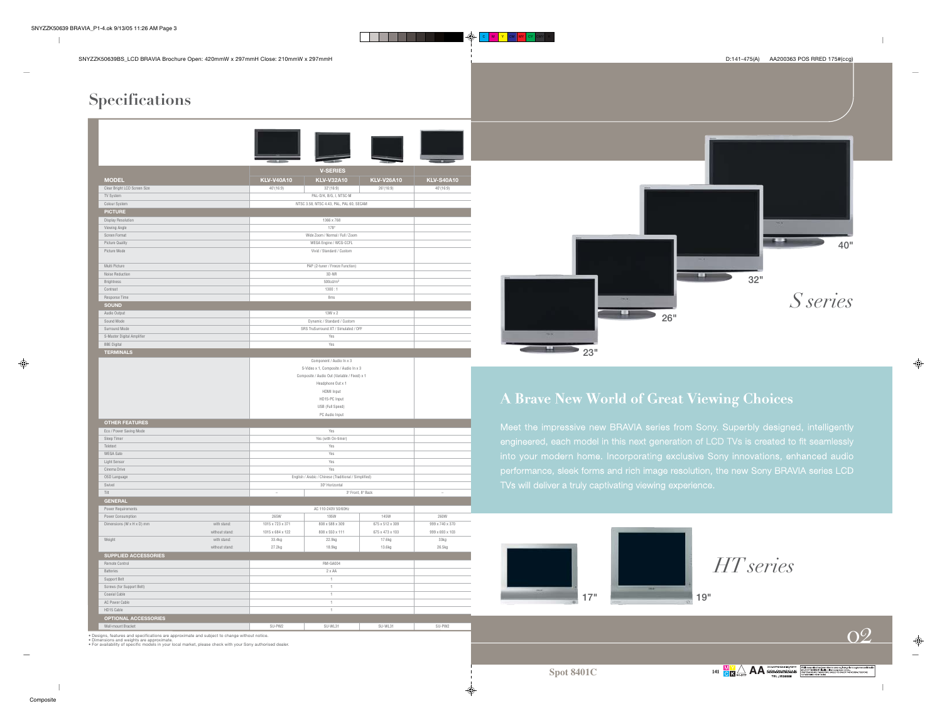$\overline{1}$ 

\_\_\_\_\_\_

C M <mark>Y CM MY</mark> CY CMY K

## **Specifications**

| <b>V-SERIES</b><br><b>KLV-V40A10</b><br><b>MODEL</b><br><b>KLV-V32A10</b><br><b>KLV-V26A10</b><br><b>KLV-S40A10</b><br>Clear Bright LCD Screen Size<br>40'(16:9)<br>40'(16:9)<br>32"(16:9)<br>26"(16:9)<br>PAL-D/K, B/G, I, NTSC-M<br>TV System<br>Colour System<br>NTSC 3.58, NTSC 4.43, PAL, PAL 60, SECAM<br><b>PICTURE</b><br>Display Resolution<br>1366 x 768<br>Viewing Angle<br>178°<br>Screen Format<br>Wide Zoom / Normal / Full / Zoom<br>WEGA Engine / WCG-CCFL<br>Picture Quality<br>Picture Mode<br>Vivid / Standard / Custom<br>Multi Picture<br>PAP (2-tuner / Freeze Function)<br><b>Noise Reduction</b><br>3D-NR<br>Brightness<br>500cd/m <sup>2</sup><br>1300:1<br>Contrast<br>Response Time<br>8ms<br><b>SOUND</b><br>Audio Output<br>$13W \times 2$<br>Sound Mode<br>Dynamic / Standard / Custom<br>Surround Mode<br>SRS TruSurround XT / Simulated / OFF<br>S-Master Digital Amplifier<br>Yes<br><b>BBE Digital</b><br>Yes<br><b>TERMINALS</b><br>Component / Audio In x 3<br>S-Video x 1, Composite / Audio In x 3<br>Composite / Audio Out (Variable / Fixed) x 1<br>Headphone Out x 1<br><b>HDMI</b> Input<br>HD15-PC Input<br>USB (Full Speed)<br>PC Audio Input<br><b>OTHER FEATURES</b><br>Eco / Power Saving Mode<br>Yes<br>Sleep Timer<br>Yes (with On-timer)<br>Teletext<br>Yes<br><b>WEGA Gate</b><br>Yes<br>Light Sensor<br>Yes<br>Cinema Drive<br>Yes<br>English / Arabic / Chinese (Traditional / Simplified)<br>OSD Language<br>Swivel<br>30° Horizontal<br>3° Front, 8° Back<br>Tilt<br><b>GENERAL</b><br>AC 110-240V 50/60Hz<br>Power Requirements<br>Power Consumption<br>265W<br>195W<br>145W<br>260W<br>1015 x 723 x 371<br>675 x 512 x 309<br>999 x 740 x 370<br>Dimensions (W x H x D) mm<br>with stand:<br>808 x 588 x 309<br>without stand:<br>1015 x 684 x 122<br>808 x 550 x 111<br>675 x 473 x 103<br>999 x 693 x 103<br>Weight<br>with stand:<br>33.4kg<br>22.9kg<br>17.6kg<br>33kg<br>27.2kg<br>13.6kg<br>26.5kg<br>without stand:<br>18.9kg<br><b>SUPPLIED ACCESSORIES</b><br><b>RM-GA004</b><br>Remote Control<br>$2 \times AA$<br><b>Batteries</b><br>Support Belt<br>1<br>Screws (for Support Belt)<br>1<br>Coaxial Cable<br>1<br>AC Power Cable<br>1<br>HD15 Cable<br>$\mathbf{1}$ |                             |  |  |  |  |  |  |
|------------------------------------------------------------------------------------------------------------------------------------------------------------------------------------------------------------------------------------------------------------------------------------------------------------------------------------------------------------------------------------------------------------------------------------------------------------------------------------------------------------------------------------------------------------------------------------------------------------------------------------------------------------------------------------------------------------------------------------------------------------------------------------------------------------------------------------------------------------------------------------------------------------------------------------------------------------------------------------------------------------------------------------------------------------------------------------------------------------------------------------------------------------------------------------------------------------------------------------------------------------------------------------------------------------------------------------------------------------------------------------------------------------------------------------------------------------------------------------------------------------------------------------------------------------------------------------------------------------------------------------------------------------------------------------------------------------------------------------------------------------------------------------------------------------------------------------------------------------------------------------------------------------------------------------------------------------------------------------------------------------------------------------------------------------------------------------------------------------------------------------------------------------------------------------------------------------------------------------------|-----------------------------|--|--|--|--|--|--|
|                                                                                                                                                                                                                                                                                                                                                                                                                                                                                                                                                                                                                                                                                                                                                                                                                                                                                                                                                                                                                                                                                                                                                                                                                                                                                                                                                                                                                                                                                                                                                                                                                                                                                                                                                                                                                                                                                                                                                                                                                                                                                                                                                                                                                                          |                             |  |  |  |  |  |  |
|                                                                                                                                                                                                                                                                                                                                                                                                                                                                                                                                                                                                                                                                                                                                                                                                                                                                                                                                                                                                                                                                                                                                                                                                                                                                                                                                                                                                                                                                                                                                                                                                                                                                                                                                                                                                                                                                                                                                                                                                                                                                                                                                                                                                                                          |                             |  |  |  |  |  |  |
|                                                                                                                                                                                                                                                                                                                                                                                                                                                                                                                                                                                                                                                                                                                                                                                                                                                                                                                                                                                                                                                                                                                                                                                                                                                                                                                                                                                                                                                                                                                                                                                                                                                                                                                                                                                                                                                                                                                                                                                                                                                                                                                                                                                                                                          |                             |  |  |  |  |  |  |
|                                                                                                                                                                                                                                                                                                                                                                                                                                                                                                                                                                                                                                                                                                                                                                                                                                                                                                                                                                                                                                                                                                                                                                                                                                                                                                                                                                                                                                                                                                                                                                                                                                                                                                                                                                                                                                                                                                                                                                                                                                                                                                                                                                                                                                          |                             |  |  |  |  |  |  |
|                                                                                                                                                                                                                                                                                                                                                                                                                                                                                                                                                                                                                                                                                                                                                                                                                                                                                                                                                                                                                                                                                                                                                                                                                                                                                                                                                                                                                                                                                                                                                                                                                                                                                                                                                                                                                                                                                                                                                                                                                                                                                                                                                                                                                                          |                             |  |  |  |  |  |  |
|                                                                                                                                                                                                                                                                                                                                                                                                                                                                                                                                                                                                                                                                                                                                                                                                                                                                                                                                                                                                                                                                                                                                                                                                                                                                                                                                                                                                                                                                                                                                                                                                                                                                                                                                                                                                                                                                                                                                                                                                                                                                                                                                                                                                                                          |                             |  |  |  |  |  |  |
|                                                                                                                                                                                                                                                                                                                                                                                                                                                                                                                                                                                                                                                                                                                                                                                                                                                                                                                                                                                                                                                                                                                                                                                                                                                                                                                                                                                                                                                                                                                                                                                                                                                                                                                                                                                                                                                                                                                                                                                                                                                                                                                                                                                                                                          |                             |  |  |  |  |  |  |
|                                                                                                                                                                                                                                                                                                                                                                                                                                                                                                                                                                                                                                                                                                                                                                                                                                                                                                                                                                                                                                                                                                                                                                                                                                                                                                                                                                                                                                                                                                                                                                                                                                                                                                                                                                                                                                                                                                                                                                                                                                                                                                                                                                                                                                          |                             |  |  |  |  |  |  |
|                                                                                                                                                                                                                                                                                                                                                                                                                                                                                                                                                                                                                                                                                                                                                                                                                                                                                                                                                                                                                                                                                                                                                                                                                                                                                                                                                                                                                                                                                                                                                                                                                                                                                                                                                                                                                                                                                                                                                                                                                                                                                                                                                                                                                                          |                             |  |  |  |  |  |  |
|                                                                                                                                                                                                                                                                                                                                                                                                                                                                                                                                                                                                                                                                                                                                                                                                                                                                                                                                                                                                                                                                                                                                                                                                                                                                                                                                                                                                                                                                                                                                                                                                                                                                                                                                                                                                                                                                                                                                                                                                                                                                                                                                                                                                                                          |                             |  |  |  |  |  |  |
|                                                                                                                                                                                                                                                                                                                                                                                                                                                                                                                                                                                                                                                                                                                                                                                                                                                                                                                                                                                                                                                                                                                                                                                                                                                                                                                                                                                                                                                                                                                                                                                                                                                                                                                                                                                                                                                                                                                                                                                                                                                                                                                                                                                                                                          |                             |  |  |  |  |  |  |
|                                                                                                                                                                                                                                                                                                                                                                                                                                                                                                                                                                                                                                                                                                                                                                                                                                                                                                                                                                                                                                                                                                                                                                                                                                                                                                                                                                                                                                                                                                                                                                                                                                                                                                                                                                                                                                                                                                                                                                                                                                                                                                                                                                                                                                          |                             |  |  |  |  |  |  |
|                                                                                                                                                                                                                                                                                                                                                                                                                                                                                                                                                                                                                                                                                                                                                                                                                                                                                                                                                                                                                                                                                                                                                                                                                                                                                                                                                                                                                                                                                                                                                                                                                                                                                                                                                                                                                                                                                                                                                                                                                                                                                                                                                                                                                                          |                             |  |  |  |  |  |  |
|                                                                                                                                                                                                                                                                                                                                                                                                                                                                                                                                                                                                                                                                                                                                                                                                                                                                                                                                                                                                                                                                                                                                                                                                                                                                                                                                                                                                                                                                                                                                                                                                                                                                                                                                                                                                                                                                                                                                                                                                                                                                                                                                                                                                                                          |                             |  |  |  |  |  |  |
|                                                                                                                                                                                                                                                                                                                                                                                                                                                                                                                                                                                                                                                                                                                                                                                                                                                                                                                                                                                                                                                                                                                                                                                                                                                                                                                                                                                                                                                                                                                                                                                                                                                                                                                                                                                                                                                                                                                                                                                                                                                                                                                                                                                                                                          |                             |  |  |  |  |  |  |
|                                                                                                                                                                                                                                                                                                                                                                                                                                                                                                                                                                                                                                                                                                                                                                                                                                                                                                                                                                                                                                                                                                                                                                                                                                                                                                                                                                                                                                                                                                                                                                                                                                                                                                                                                                                                                                                                                                                                                                                                                                                                                                                                                                                                                                          |                             |  |  |  |  |  |  |
|                                                                                                                                                                                                                                                                                                                                                                                                                                                                                                                                                                                                                                                                                                                                                                                                                                                                                                                                                                                                                                                                                                                                                                                                                                                                                                                                                                                                                                                                                                                                                                                                                                                                                                                                                                                                                                                                                                                                                                                                                                                                                                                                                                                                                                          |                             |  |  |  |  |  |  |
|                                                                                                                                                                                                                                                                                                                                                                                                                                                                                                                                                                                                                                                                                                                                                                                                                                                                                                                                                                                                                                                                                                                                                                                                                                                                                                                                                                                                                                                                                                                                                                                                                                                                                                                                                                                                                                                                                                                                                                                                                                                                                                                                                                                                                                          |                             |  |  |  |  |  |  |
|                                                                                                                                                                                                                                                                                                                                                                                                                                                                                                                                                                                                                                                                                                                                                                                                                                                                                                                                                                                                                                                                                                                                                                                                                                                                                                                                                                                                                                                                                                                                                                                                                                                                                                                                                                                                                                                                                                                                                                                                                                                                                                                                                                                                                                          |                             |  |  |  |  |  |  |
|                                                                                                                                                                                                                                                                                                                                                                                                                                                                                                                                                                                                                                                                                                                                                                                                                                                                                                                                                                                                                                                                                                                                                                                                                                                                                                                                                                                                                                                                                                                                                                                                                                                                                                                                                                                                                                                                                                                                                                                                                                                                                                                                                                                                                                          |                             |  |  |  |  |  |  |
|                                                                                                                                                                                                                                                                                                                                                                                                                                                                                                                                                                                                                                                                                                                                                                                                                                                                                                                                                                                                                                                                                                                                                                                                                                                                                                                                                                                                                                                                                                                                                                                                                                                                                                                                                                                                                                                                                                                                                                                                                                                                                                                                                                                                                                          |                             |  |  |  |  |  |  |
|                                                                                                                                                                                                                                                                                                                                                                                                                                                                                                                                                                                                                                                                                                                                                                                                                                                                                                                                                                                                                                                                                                                                                                                                                                                                                                                                                                                                                                                                                                                                                                                                                                                                                                                                                                                                                                                                                                                                                                                                                                                                                                                                                                                                                                          |                             |  |  |  |  |  |  |
|                                                                                                                                                                                                                                                                                                                                                                                                                                                                                                                                                                                                                                                                                                                                                                                                                                                                                                                                                                                                                                                                                                                                                                                                                                                                                                                                                                                                                                                                                                                                                                                                                                                                                                                                                                                                                                                                                                                                                                                                                                                                                                                                                                                                                                          |                             |  |  |  |  |  |  |
|                                                                                                                                                                                                                                                                                                                                                                                                                                                                                                                                                                                                                                                                                                                                                                                                                                                                                                                                                                                                                                                                                                                                                                                                                                                                                                                                                                                                                                                                                                                                                                                                                                                                                                                                                                                                                                                                                                                                                                                                                                                                                                                                                                                                                                          |                             |  |  |  |  |  |  |
|                                                                                                                                                                                                                                                                                                                                                                                                                                                                                                                                                                                                                                                                                                                                                                                                                                                                                                                                                                                                                                                                                                                                                                                                                                                                                                                                                                                                                                                                                                                                                                                                                                                                                                                                                                                                                                                                                                                                                                                                                                                                                                                                                                                                                                          |                             |  |  |  |  |  |  |
|                                                                                                                                                                                                                                                                                                                                                                                                                                                                                                                                                                                                                                                                                                                                                                                                                                                                                                                                                                                                                                                                                                                                                                                                                                                                                                                                                                                                                                                                                                                                                                                                                                                                                                                                                                                                                                                                                                                                                                                                                                                                                                                                                                                                                                          |                             |  |  |  |  |  |  |
|                                                                                                                                                                                                                                                                                                                                                                                                                                                                                                                                                                                                                                                                                                                                                                                                                                                                                                                                                                                                                                                                                                                                                                                                                                                                                                                                                                                                                                                                                                                                                                                                                                                                                                                                                                                                                                                                                                                                                                                                                                                                                                                                                                                                                                          |                             |  |  |  |  |  |  |
|                                                                                                                                                                                                                                                                                                                                                                                                                                                                                                                                                                                                                                                                                                                                                                                                                                                                                                                                                                                                                                                                                                                                                                                                                                                                                                                                                                                                                                                                                                                                                                                                                                                                                                                                                                                                                                                                                                                                                                                                                                                                                                                                                                                                                                          |                             |  |  |  |  |  |  |
|                                                                                                                                                                                                                                                                                                                                                                                                                                                                                                                                                                                                                                                                                                                                                                                                                                                                                                                                                                                                                                                                                                                                                                                                                                                                                                                                                                                                                                                                                                                                                                                                                                                                                                                                                                                                                                                                                                                                                                                                                                                                                                                                                                                                                                          |                             |  |  |  |  |  |  |
|                                                                                                                                                                                                                                                                                                                                                                                                                                                                                                                                                                                                                                                                                                                                                                                                                                                                                                                                                                                                                                                                                                                                                                                                                                                                                                                                                                                                                                                                                                                                                                                                                                                                                                                                                                                                                                                                                                                                                                                                                                                                                                                                                                                                                                          |                             |  |  |  |  |  |  |
|                                                                                                                                                                                                                                                                                                                                                                                                                                                                                                                                                                                                                                                                                                                                                                                                                                                                                                                                                                                                                                                                                                                                                                                                                                                                                                                                                                                                                                                                                                                                                                                                                                                                                                                                                                                                                                                                                                                                                                                                                                                                                                                                                                                                                                          |                             |  |  |  |  |  |  |
|                                                                                                                                                                                                                                                                                                                                                                                                                                                                                                                                                                                                                                                                                                                                                                                                                                                                                                                                                                                                                                                                                                                                                                                                                                                                                                                                                                                                                                                                                                                                                                                                                                                                                                                                                                                                                                                                                                                                                                                                                                                                                                                                                                                                                                          |                             |  |  |  |  |  |  |
|                                                                                                                                                                                                                                                                                                                                                                                                                                                                                                                                                                                                                                                                                                                                                                                                                                                                                                                                                                                                                                                                                                                                                                                                                                                                                                                                                                                                                                                                                                                                                                                                                                                                                                                                                                                                                                                                                                                                                                                                                                                                                                                                                                                                                                          |                             |  |  |  |  |  |  |
|                                                                                                                                                                                                                                                                                                                                                                                                                                                                                                                                                                                                                                                                                                                                                                                                                                                                                                                                                                                                                                                                                                                                                                                                                                                                                                                                                                                                                                                                                                                                                                                                                                                                                                                                                                                                                                                                                                                                                                                                                                                                                                                                                                                                                                          |                             |  |  |  |  |  |  |
|                                                                                                                                                                                                                                                                                                                                                                                                                                                                                                                                                                                                                                                                                                                                                                                                                                                                                                                                                                                                                                                                                                                                                                                                                                                                                                                                                                                                                                                                                                                                                                                                                                                                                                                                                                                                                                                                                                                                                                                                                                                                                                                                                                                                                                          |                             |  |  |  |  |  |  |
|                                                                                                                                                                                                                                                                                                                                                                                                                                                                                                                                                                                                                                                                                                                                                                                                                                                                                                                                                                                                                                                                                                                                                                                                                                                                                                                                                                                                                                                                                                                                                                                                                                                                                                                                                                                                                                                                                                                                                                                                                                                                                                                                                                                                                                          |                             |  |  |  |  |  |  |
|                                                                                                                                                                                                                                                                                                                                                                                                                                                                                                                                                                                                                                                                                                                                                                                                                                                                                                                                                                                                                                                                                                                                                                                                                                                                                                                                                                                                                                                                                                                                                                                                                                                                                                                                                                                                                                                                                                                                                                                                                                                                                                                                                                                                                                          |                             |  |  |  |  |  |  |
|                                                                                                                                                                                                                                                                                                                                                                                                                                                                                                                                                                                                                                                                                                                                                                                                                                                                                                                                                                                                                                                                                                                                                                                                                                                                                                                                                                                                                                                                                                                                                                                                                                                                                                                                                                                                                                                                                                                                                                                                                                                                                                                                                                                                                                          |                             |  |  |  |  |  |  |
|                                                                                                                                                                                                                                                                                                                                                                                                                                                                                                                                                                                                                                                                                                                                                                                                                                                                                                                                                                                                                                                                                                                                                                                                                                                                                                                                                                                                                                                                                                                                                                                                                                                                                                                                                                                                                                                                                                                                                                                                                                                                                                                                                                                                                                          |                             |  |  |  |  |  |  |
|                                                                                                                                                                                                                                                                                                                                                                                                                                                                                                                                                                                                                                                                                                                                                                                                                                                                                                                                                                                                                                                                                                                                                                                                                                                                                                                                                                                                                                                                                                                                                                                                                                                                                                                                                                                                                                                                                                                                                                                                                                                                                                                                                                                                                                          |                             |  |  |  |  |  |  |
|                                                                                                                                                                                                                                                                                                                                                                                                                                                                                                                                                                                                                                                                                                                                                                                                                                                                                                                                                                                                                                                                                                                                                                                                                                                                                                                                                                                                                                                                                                                                                                                                                                                                                                                                                                                                                                                                                                                                                                                                                                                                                                                                                                                                                                          |                             |  |  |  |  |  |  |
|                                                                                                                                                                                                                                                                                                                                                                                                                                                                                                                                                                                                                                                                                                                                                                                                                                                                                                                                                                                                                                                                                                                                                                                                                                                                                                                                                                                                                                                                                                                                                                                                                                                                                                                                                                                                                                                                                                                                                                                                                                                                                                                                                                                                                                          |                             |  |  |  |  |  |  |
|                                                                                                                                                                                                                                                                                                                                                                                                                                                                                                                                                                                                                                                                                                                                                                                                                                                                                                                                                                                                                                                                                                                                                                                                                                                                                                                                                                                                                                                                                                                                                                                                                                                                                                                                                                                                                                                                                                                                                                                                                                                                                                                                                                                                                                          |                             |  |  |  |  |  |  |
|                                                                                                                                                                                                                                                                                                                                                                                                                                                                                                                                                                                                                                                                                                                                                                                                                                                                                                                                                                                                                                                                                                                                                                                                                                                                                                                                                                                                                                                                                                                                                                                                                                                                                                                                                                                                                                                                                                                                                                                                                                                                                                                                                                                                                                          |                             |  |  |  |  |  |  |
|                                                                                                                                                                                                                                                                                                                                                                                                                                                                                                                                                                                                                                                                                                                                                                                                                                                                                                                                                                                                                                                                                                                                                                                                                                                                                                                                                                                                                                                                                                                                                                                                                                                                                                                                                                                                                                                                                                                                                                                                                                                                                                                                                                                                                                          |                             |  |  |  |  |  |  |
|                                                                                                                                                                                                                                                                                                                                                                                                                                                                                                                                                                                                                                                                                                                                                                                                                                                                                                                                                                                                                                                                                                                                                                                                                                                                                                                                                                                                                                                                                                                                                                                                                                                                                                                                                                                                                                                                                                                                                                                                                                                                                                                                                                                                                                          |                             |  |  |  |  |  |  |
|                                                                                                                                                                                                                                                                                                                                                                                                                                                                                                                                                                                                                                                                                                                                                                                                                                                                                                                                                                                                                                                                                                                                                                                                                                                                                                                                                                                                                                                                                                                                                                                                                                                                                                                                                                                                                                                                                                                                                                                                                                                                                                                                                                                                                                          |                             |  |  |  |  |  |  |
|                                                                                                                                                                                                                                                                                                                                                                                                                                                                                                                                                                                                                                                                                                                                                                                                                                                                                                                                                                                                                                                                                                                                                                                                                                                                                                                                                                                                                                                                                                                                                                                                                                                                                                                                                                                                                                                                                                                                                                                                                                                                                                                                                                                                                                          |                             |  |  |  |  |  |  |
|                                                                                                                                                                                                                                                                                                                                                                                                                                                                                                                                                                                                                                                                                                                                                                                                                                                                                                                                                                                                                                                                                                                                                                                                                                                                                                                                                                                                                                                                                                                                                                                                                                                                                                                                                                                                                                                                                                                                                                                                                                                                                                                                                                                                                                          |                             |  |  |  |  |  |  |
|                                                                                                                                                                                                                                                                                                                                                                                                                                                                                                                                                                                                                                                                                                                                                                                                                                                                                                                                                                                                                                                                                                                                                                                                                                                                                                                                                                                                                                                                                                                                                                                                                                                                                                                                                                                                                                                                                                                                                                                                                                                                                                                                                                                                                                          |                             |  |  |  |  |  |  |
|                                                                                                                                                                                                                                                                                                                                                                                                                                                                                                                                                                                                                                                                                                                                                                                                                                                                                                                                                                                                                                                                                                                                                                                                                                                                                                                                                                                                                                                                                                                                                                                                                                                                                                                                                                                                                                                                                                                                                                                                                                                                                                                                                                                                                                          |                             |  |  |  |  |  |  |
|                                                                                                                                                                                                                                                                                                                                                                                                                                                                                                                                                                                                                                                                                                                                                                                                                                                                                                                                                                                                                                                                                                                                                                                                                                                                                                                                                                                                                                                                                                                                                                                                                                                                                                                                                                                                                                                                                                                                                                                                                                                                                                                                                                                                                                          |                             |  |  |  |  |  |  |
|                                                                                                                                                                                                                                                                                                                                                                                                                                                                                                                                                                                                                                                                                                                                                                                                                                                                                                                                                                                                                                                                                                                                                                                                                                                                                                                                                                                                                                                                                                                                                                                                                                                                                                                                                                                                                                                                                                                                                                                                                                                                                                                                                                                                                                          |                             |  |  |  |  |  |  |
|                                                                                                                                                                                                                                                                                                                                                                                                                                                                                                                                                                                                                                                                                                                                                                                                                                                                                                                                                                                                                                                                                                                                                                                                                                                                                                                                                                                                                                                                                                                                                                                                                                                                                                                                                                                                                                                                                                                                                                                                                                                                                                                                                                                                                                          |                             |  |  |  |  |  |  |
|                                                                                                                                                                                                                                                                                                                                                                                                                                                                                                                                                                                                                                                                                                                                                                                                                                                                                                                                                                                                                                                                                                                                                                                                                                                                                                                                                                                                                                                                                                                                                                                                                                                                                                                                                                                                                                                                                                                                                                                                                                                                                                                                                                                                                                          |                             |  |  |  |  |  |  |
|                                                                                                                                                                                                                                                                                                                                                                                                                                                                                                                                                                                                                                                                                                                                                                                                                                                                                                                                                                                                                                                                                                                                                                                                                                                                                                                                                                                                                                                                                                                                                                                                                                                                                                                                                                                                                                                                                                                                                                                                                                                                                                                                                                                                                                          |                             |  |  |  |  |  |  |
|                                                                                                                                                                                                                                                                                                                                                                                                                                                                                                                                                                                                                                                                                                                                                                                                                                                                                                                                                                                                                                                                                                                                                                                                                                                                                                                                                                                                                                                                                                                                                                                                                                                                                                                                                                                                                                                                                                                                                                                                                                                                                                                                                                                                                                          | <b>OPTIONAL ACCESSORIES</b> |  |  |  |  |  |  |

SU-PW2 SU-WL31 SU-WL31 SU-PW2



### **A Brave New World of Great Viewing Choices**

Meet the impressive new BRAVIA series from Sony. Superbly designed, intelligently engineered, each model in this next generation of LCD TVs is created to fit seamlessly into your modern home. Incorporating exclusive Sony innovations, enhanced audio performance, sleek forms and rich image resolution, the new Sony BRAVIA series LCD TVs will deliver a truly captivating viewing experience.



Wall-mount Bracket

● Designs, features and specifications are approximate and subject to change without notice.<br>● Dimensions and weights are approximate.<br>● For availability of specific models in your local market, please check with your Son

♦

Composite

♠

o2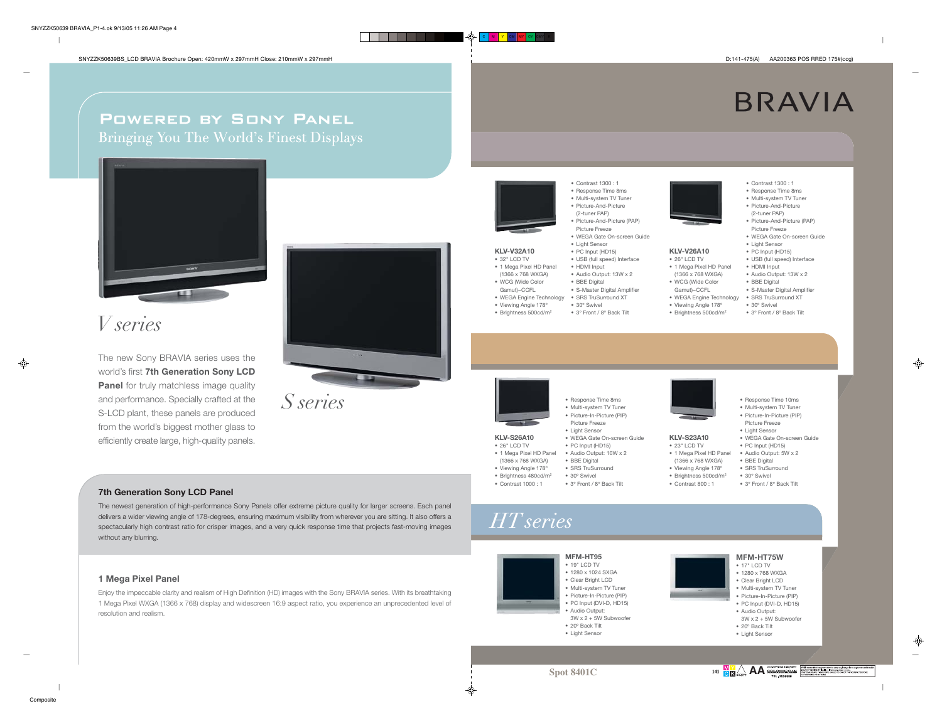$\blacksquare$ 

## **BRAVIA**

### Powered by Sony Panel Bringing You The World's Finest Displays



## *V series*

The new Sony BRAVIA series uses the world's first **7th Generation Sony LCD Panel** for truly matchless image quality and performance. Specially crafted at the S-LCD plant, these panels are produced from the world's biggest mother glass to efficiently create large, high-quality panels.



*S series*

#### **7th Generation Sony LCD Panel**

The newest generation of high-performance Sony Panels offer extreme picture quality for larger screens. Each panel delivers a wider viewing angle of 178-degrees, ensuring maximum visibility from wherever you are sitting. It also offers a spectacularly high contrast ratio for crisper images, and a very quick response time that projects fast-moving images without any blurring.

#### **1 Mega Pixel Panel**

**Composite** 

Enjoy the impeccable clarity and realism of High Definition (HD) images with the Sony BRAVIA series. With its breathtaking 1 Mega Pixel WXGA (1366 x 768) display and widescreen 16:9 aspect ratio, you experience an unprecedented level of resolution and realism.



- Multi-system TV Tuner • Picture-And-Picture
- (2-tuner PAP) • Picture-And-Picture (PAP)
- Picture Freeze• WEGA Gate On-screen Guide
- Light Sensor
- PC Input (HD15) **KLV-V32A10**
- USB (full speed) Interface • HDMI Input • 32" LCD TV• 1 Mega Pixel HD Panel
- Audio Output: 13W x 2 (1366 x 768 WXGA)
- BBE Digital • WCG (Wide Color Gamut)–CCFL

C M <mark>Y CM MY</mark> CY CMY K

- S-Master Digital Amplifier • WEGA Engine Technology • SRS TruSurround XT
- 30º Swivel• Viewing Angle 178º
- 3º Front / 8º Back Tilt • Brightness 500cd/m2
- -
	- **KLV-V26A10**
	- 26" LCD TV• 1 Mega Pixel HD Panel
	- (1366 x 768 WXGA)
- WCG (Wide Color
- Gamut)–CCFL

 • 23" LCD TV • 1 Mega Pixel HD Panel (1366 x 768 WXGA) • Viewing Angle 178º • Brightness 500cd/m<sup>2</sup>

- WEGA Engine Technology • Viewing Angle 178º
- Brightness 500cd/m2
- PC Input (HD15) • USB (full speed) Interface
- HDMI Input • Audio Output: 13W x 2
- BBE Digital
	- S-Master Digital Amplifier • SRS TruSurround XT

• Contrast 1300 : 1 • Response Time 8ms • Multi-system TV Tuner • Picture-And-Picture (2-tuner PAP) • Picture-And-Picture (PAP) Picture Freeze • WEGA Gate On-screen Guide• Light Sensor

- 30º Swivel
	- 3º Front / 8º Back Tilt

• Response Time 10ms • Multi-system TV Tuner • Picture-In-Picture (PIP) Picture Freeze• Light Sensor • WEGA Gate On-screen Guide• PC Input (HD15) • Audio Output: 5W x 2 • BBE Digital • SRS TruSurround • 30º Swivel• 3º Front / 8º Back Tilt

- Response Time 8ms • Multi-system TV Tuner • Picture-In-Picture (PIP) Picture Freeze• Light Sensor
	- PC Input (HD15) • Audio Output: 10W x 2
		-
		-
- *HT series*

⊕

**KLV-S26A10**



 • 1280 x 1024 SXGA • Clear Bright LCD • Multi-system TV Tuner • Picture-In-Picture (PIP) • PC Input (DVI-D, HD15) • Audio Output:  $3W \times 2 + 5W$  Subwoofe • 20º Back Tilt• Light Sensor

#### **MFM-HT75W**• 17" LCD TV • 1280 x 768 WXGA• Clear Bright LCD

- Multi-system TV Tuner • Picture-In-Picture (PIP)
	- PC Input (DVI-D, HD15)
	- Audio Output:
	- $3W \times 2 + 5W$  Subwoofer
	- 20º Back Tilt• Light Sensor

♦

**Spot 8401C**

**AA**JW





</u>









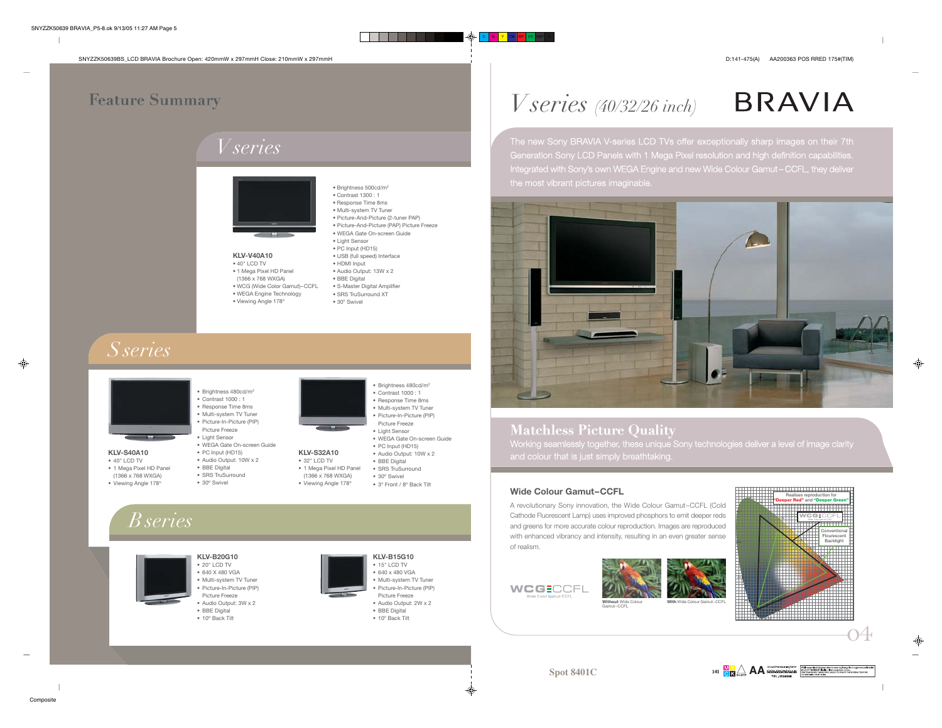$\overline{\phantom{a}}$ 

### **Feature Summary**

## *V series*



### **KLV-V40A10**

• 40" LCD TV • 1 Mega Pixel HD Panel (1366 x 768 WXGA) • WCG (Wide Color Gamut)–CCFL • WEGA Engine Technology • Viewing Angle 178º

| · Brightness 500cd/m <sup>2</sup>          |
|--------------------------------------------|
| $\bullet$ Contrast 1300 : 1                |
| · Response Time 8ms                        |
| · Multi-system TV Tuner                    |
| · Picture-And-Picture (2-tuner PAP)        |
| · Picture-And-Picture (PAP) Picture Freeze |
| · WEGA Gate On-screen Guide                |
| • Light Sensor                             |
| · PC Input (HD15)                          |
| • USB (full speed) Interface               |
| · HDMI Input                               |
| • Audio Output: 13W x 2                    |
| · BBE Digital                              |
| · S-Master Digital Amplifier               |
| · SRS TruSurround XT                       |
| • 30° Swivel                               |
|                                            |

• Brightness 480cd/m2 • Contrast 1000 : 1 • Response Time 8ms • Multi-system TV Tuner • Picture-In-Picture (PIP) Picture Freeze• Light Sensor • WEGA Gate On-screen Guide• PC Input (HD15) • Audio Output: 10W x 2 • BBE Digital • SRS TruSurround• 30º Swivel• 3º Front / 8º Back Tilt

**KLV-S32A10**• 32" LCD TV • 1 Mega Pixel HD Panel (1366 x 768 WXGA) • Viewing Angle 178º

## *S series*



**KLV-S40A10** • 40" LCD TV • 1 Mega Pixel HD Panel (1366 x 768 WXGA) • Viewing Angle 178º



• PC Input (HD15)

- Audio Output: 10W x 2 • BBE Digital
- SRS TruSurround
- 30º Swivel

## *B series*

**KLV-B20G10** • 20" LCD TV • 640 X 480 VGA • Multi-system TV Tuner • Picture-In-Picture (PIP) Picture Freeze • Audio Output: 3W x 2 • BBE Digital

• 10º Back Tilt

- **KLV-B15G10** • 15" LCD TV • 640 x 480 VGA
	- Multi-system TV Tuner • Picture-In-Picture (PIP) Picture Freeze • Audio Output: 2W x 2 • BBE Digital • 10º Back Tilt

⊕

## *V series (40/32/26 inch)*

C M <mark>Y CM MY</mark> CY CMY K

# **BRAVIA**

The new Sony BRAVIA V-series LCD TVs offer exceptionally sharp images on their 7th Generation Sony LCD Panels with 1 Mega Pixel resolution and high definition capabilities. Integrated with Sony's own WEGA Engine and new Wide Colour Gamut – CCFL, they deliver the most vibrant pictures imaginable. •



### **Matchless Picture Quality**

Working seamlessly together, these unique Sony technologies deliver a level of image clarity and colour that is just simply breathtaking.

#### **Wide Colour Gamut–CCFL**

A revolutionary Sony innovation, the Wide Colour Gamut–CCFL (Cold Cathode Fluorescent Lamp) uses improved phosphors to emit deeper reds and greens for more accurate colour reproduction. Images are reproduced with enhanced vibrancy and intensity, resulting in an even greater sense of realism.





⊕

♦

o4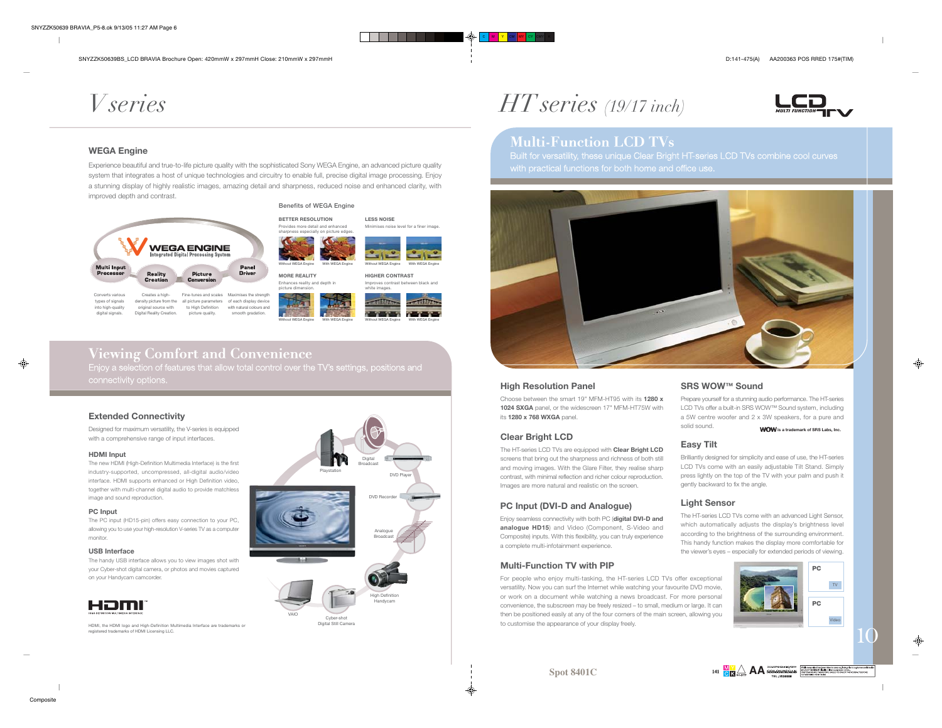- 1

## *V series*

#### **WEGA Engine**

Experience beautiful and true-to-life picture quality with the sophisticated Sony WEGA Engine, an advanced picture quality system that integrates a host of unique technologies and circuitry to enable full, precise digital image processing. Enjoy a stunning display of highly realistic images, amazing detail and sharpness, reduced noise and enhanced clarity, with improved depth and contrast.



Converts various types of signals into high-quality digital signals. Creates a highdensity picture from the all picture parameters of each display device original source with Digital Reality Creation. Fine-tunes and scales Maximises the strength to High Definition picture quality. with natural colours andsmooth gradation

**Without WEGA Engine With WEGA Engine Without WEGA Engine With WEGA Engine MORE REALITY** Enhances reality and depth in picture dimension.

**Benefits of WEGA Engine**



**HIGHER CONTRAST**

Minimises noise level for a finer image.

\_\_\_\_

**LESS NOISE**

### **Viewing Comfort and Convenience** Enjoy a selection of features that allow total control over the TV's settings, positions and connectivity options.

**Extended Connectivity**

Designed for maximum versatility, the V-series is equipped with a comprehensive range of input interfaces.

#### **HDMI Input**

The new HDMI (High-Definition Multimedia Interface) is the first industry-supported, uncompressed, all-digital audio/video interface. HDMI supports enhanced or High Definition video, together with multi-channel digital audio to provide matchless image and sound reproduction.

#### **PC Input**

The PC input (HD15-pin) offers easy connection to your PC, allowing you to use your high-resolution V-series TV as a computer monitor.

#### **USB Interface**

 The handy USB interface allows you to view images shot with your Cyber-shot digital camera, or photos and movies captured on your Handycam camcorder.



HDMI, the HDMI logo and High-Definition Multimedia Interface are trademarks or registered trademarks of HDMI Licensing LLC.





C **M Y CM MY CY CMY K** 



### **Multi-Function LCD TVs**

 Built for versatility, these unique Clear Bright HT-series LCD TVs combine cool curves with practical functions for both home and office use.



#### **High Resolution Panel**

Choose between the smart 19" MFM-HT95 with its **1280 x 1024 SXGA** panel, or the widescreen 17" MFM-HT75W with its **1280 x 768 WXGA** panel.

#### **Clear Bright LCD**

The HT-series LCD TVs are equipped with **Clear Bright LCD** screens that bring out the sharpness and richness of both still and moving images. With the Glare Filter, they realise sharp contrast, with minimal reflection and richer colour reproduction. Images are more natural and realistic on the screen.

#### **PC Input (DVI-D and Analogue)**

Enjoy seamless connectivity with both PC (**digital DVI-D and analogue HD15**) and Video (Component, S-Video and Composite) inputs. With this flexibility, you can truly experience a complete multi-infotainment experience.

#### **Multi-Function TV with PIP**

For people who enjoy multi-tasking, the HT-series LCD TVs offer exceptional versatility. Now you can surf the Internet while watching your favourite DVD movie, or work on a document while watching a news broadcast. For more personal convenience, the subscreen may be freely resized – to small, medium or large. It can then be positioned easily at any of the four corners of the main screen, allowing you to customise the appearance of your display freely.

**SRS WOW™ Sound**Prepare yourself for a stunning audio performance. The HT-series

#### a 5W centre woofer and 2 x 3W speakers, for a pure and **WOW** is a trademark of SRS Labs, Inc.

LCD TVs offer a built-in SRS WOW™ Sound system, including

#### **Easy Tilt**

solid sound.

Brilliantly designed for simplicity and ease of use, the HT-series LCD TVs come with an easily adjustable Tilt Stand. Simply press lightly on the top of the TV with your palm and push it gently backward to fix the angle.

#### **Light Sensor**

The HT-series LCD TVs come with an advanced Light Sensor, which automatically adjusts the display's brightness level according to the brightness of the surrounding environment. This handy function makes the display more comfortable for the viewer's eyes – especially for extended periods of viewing.



**Spot 8401C**



♠

10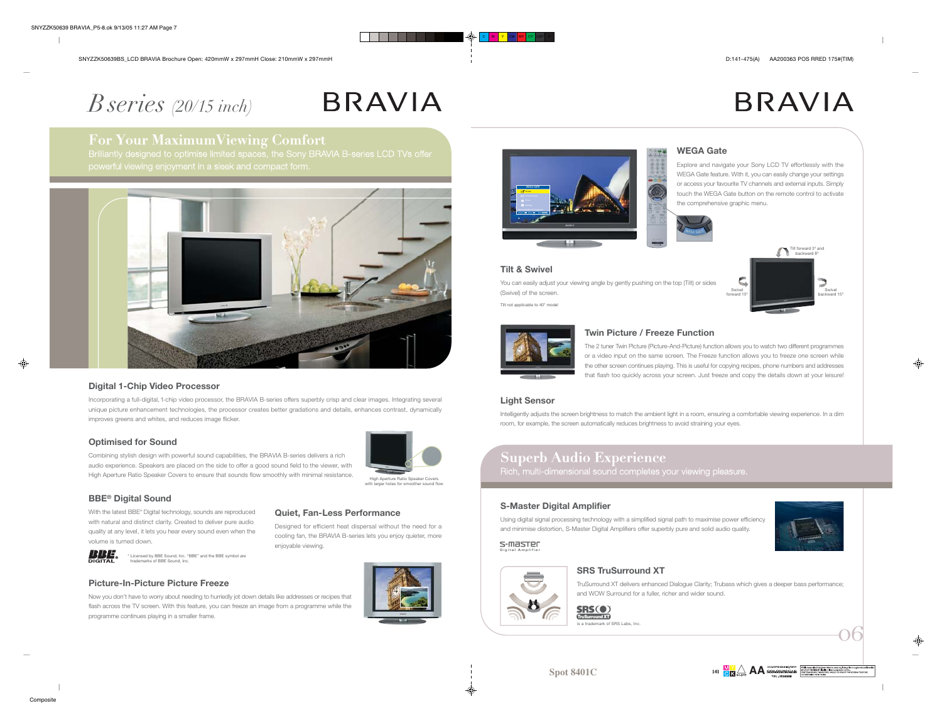- 1

**BRAVIA** 

## *B series (20/15 inch)*

# **BRAVIA**

### **For Your MaximumViewing Comfort**

Brilliantly designed to optimise limited spaces, the Sony BRAVIA B-series LCD TVs offer powerful viewing enjoyment in a sleek and compact form.



#### **Digital 1-Chip Video Processor**

Incorporating a full-digital, 1-chip video processor, the BRAVIA B-series offers superbly crisp and clear images. Integrating several unique picture enhancement technologies, the processor creates better gradations and details, enhances contrast, dynamically improves greens and whites, and reduces image flicker.

#### **Optimised for Sound**

Combining stylish design with powerful sound capabilities, the BRAVIA B-series delivers a rich audio experience. Speakers are placed on the side to offer a good sound field to the viewer, with High Aperture Ratio Speaker Covers to ensure that sounds flow smoothly with minimal resistance.



#### **BBE® Digital Sound**

With the latest BBE\* Digital technology, sounds are reproduced with natural and distinct clarity. Created to deliver pure audio quality at any level, it lets you hear every sound even when the volume is turned down.



### **Quiet, Fan-Less Performance**

Designed for efficient heat dispersal without the need for a cooling fan, the BRAVIA B-series lets you enjoy quieter, more enjoyable viewing.



#### **Picture-In-Picture Picture Freeze**

Now you don't have to worry about needing to hurriedly jot down details like addresses or recipes that flash across the TV screen. With this feature, you can freeze an image from a programme while the programme continues playing in a smaller frame.





#### **WEGA Gate**

Explore and navigate your Sony LCD TV effortlessly with the WEGA Gate feature. With it, you can easily change your settings or access your favourite TV channels and external inputs. Simply touch the WEGA Gate button on the remote control to activatethe comprehensive graphic menu.





#### **Twin Picture / Freeze Function**

The 2 tuner Twin Picture (Picture-And-Picture) function allows you to watch two different programmes or a video input on the same screen. The Freeze function allows you to freeze one screen while the other screen continues playing. This is useful for copying recipes, phone numbers and addresses that flash too quickly across your screen. Just freeze and copy the details down at your leisure!

#### **Light Sensor**

**Tilt & Swivel**

(Swivel) of the screen. Tilt not applicable to 40" model

Intelligently adjusts the screen brightness to match the ambient light in a room, ensuring a comfortable viewing experience. In a dim room, for example, the screen automatically reduces brightness to avoid straining your eyes.

### **Superb Audio Experience**

Rich, multi-dimensional sound completes your viewing pleasure.

#### **S-Master Digital Amplifier**

Using digital signal processing technology with a simplified signal path to maximise power efficiency and minimise distortion, S-Master Digital Amplifiers offer superbly pure and solid audio quality.





#### **SRS TruSurround XT**

TruSurround XT delivers enhanced Dialogue Clarity; Trubass which gives a deeper bass performance; and WOW Surround for a fuller, richer and wider sound.



**Spot 8401C**

#### **SRS(0)** TruSurround XT

is a trademark of SRS Labs, Inc.

o6

**AA**JW